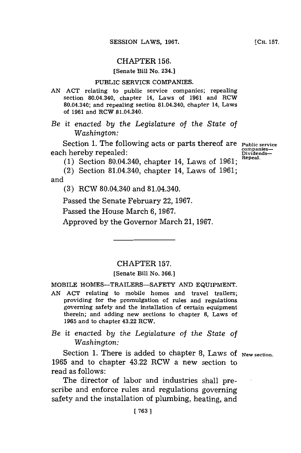## CHAPTER **156.**

[Senate Bill No. 234.]

#### PUBLIC SERVICE COMPANIES.

**AN ACT** relating to public service companies; repealing section 80.04.340, chapter 14, Laws of **1961** and RCW 80.04.340; and repealing section 81.04.340, chapter 14, Laws of **1961** and RCW 81.04.340.

*Be it enacted by the Legislature of the State of Washington:*

Section 1. The following acts or parts thereof are **Public service**<br>
h hereby repealed: Dividends each hereby repealed:<br> **Dividends-**<br> **Dividends-**

(1) **Section 80.04.340, chapter 14, Laws of 1961;** 

(2) Section 81.04.340, chapter 14, Laws of **1961;** and

**(3)** RCW 80.04.340 and 81.04.340.

Passed the Senate February 22, **1967.**

Passed the House March **6, 1967.**

Approved **by** the Governor March 21, **1967.**

## CHAPTER **157.**

### [Senate Bill No. **366.3**

MOBILE HOMES-TRAILERS-SAFETY **AND EQUIPMENT.**

**AN ACT** relating to mobile homes and travel trailers; providing for the promulgation of rules and regulations governing safety and the installation of certain equipment therein; and adding new sections to chapter **8,** Laws of **1965** and to chapter 43.22 RCW.

# *Be it enacted by the Legislature of the State of Washington:*

Section 1. There is added to chapter 8, Laws of <sub>New section</sub>. **1965** and to chapter 43.22 RCW a new section to read as follows:

The director of labor and industries shall prescribe and enforce rules and regulations governing safety and the installation of plumbing, heating, and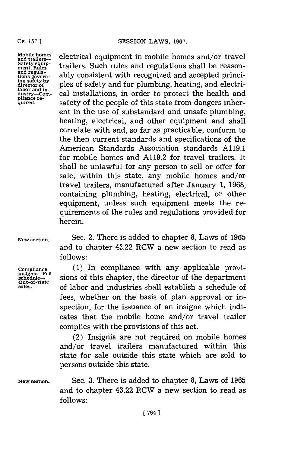**labor and in-**

**CH. 157.]**

Mobile homes **expanding electrical equipment** in mobile homes and/or travel satety equip-<br>*trailers*- trailers. Such rules and regulations shall be reason-<br>ment.Rules Safety equip-<br>ment. Rules<br>and regula-<br>and regula-<br>and regula-<br>consistent with reasonized and accorted princi and regula-<br>tions govern-<br>ing safety by<br>director of **plumbing** beating, and electri-<br>director of **plumbing**, heating, and electrical installations, in order to protect the health and quired. Safety of the people of this state from dangers inherent in the use of substandard and unsafe plumbing, heating, electrical, and other equipment and shall correlate with and, so far as practicable, conform to the then current standards and specifications of the American Standards Association standards **A119.1** for mobile homes and **A119.2** for travel trailers. It shall be unlawful for any person to sell or offer for sale, within this state, any mobile homes and/or travel trailers, manufactured after January **1, 1968,** containing plumbing, heating, electrical, or other equipment, unless such equipment meets the requirements of the rules and regulations provided for herein.

**Out-of-state**

**New section.** Sec. 2. There is added to chapter **8,** Laws of **1965** and to chapter 43.22 RCW a new section to read as **follows:**

Compliance (1) In compliance with any applicable provi-<br>
insignia–Fee sions of this chapter, the director of the department sions of this chapter, the director of the department **sales,** of labor and industries shall establish a schedule of fees, whether on the basis of plan approval or inspection, for the issuance of an insigne which indicates that the mobile home and/or travel trailer complies with the provisions of this act.

> (2) Insignia are not required on mobile homes and/or travel trailers manufactured within this state for sale outside this state which are sold to persons outside this state.

**New section.** Sec. **3.** There is added to chapter **8,** Laws of **1965** and to chapter 43.22 RCW a new section to read as **follows:**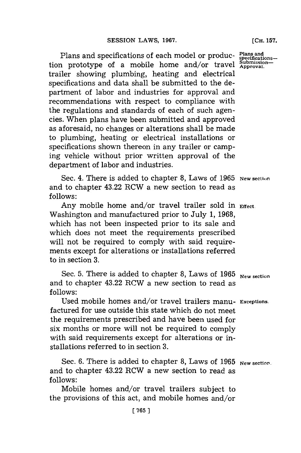Plans and specifications of each model or production prototype of a mobile home and/or travel trailer showing plumbing, heating and electrical specifications and data shall be submitted to the department of labor and industries for approval and recommendations with respect to compliance with the regulations and standards of each of such agencies. When plans have been submitted and approved as aforesaid, no changes or alterations shall be made to plumbing, heating or electrical installations or specifications shown thereon in any trailer or camping vehicle without prior written approval of the department of labor and industries.

Sec. 4. There is added to chapter 8, Laws of 1965 New section and to chapter 43.22 RCW a new section to read as **follows:**

Any mobile home and/or travel trailer sold in **Effect**. Washington and manufactured prior to July **1, 1968,** which has not been inspected prior to its sale and which does not meet the requirements prescribed will not be required to comply with said requirements except for alterations or installations referred to in section **3.**

Sec. **5.** There is added to chapter **8,** Laws of **1965 New section** and to chapter 43.22 RCW a new section to read as **follows:**

Used mobile homes and/or travel trailers manu- **Exceptions.** factured for use outside this state which do not meet the requirements prescribed and have been used for six months or more will not be required to comply with said requirements except for alterations or installations referred to in section **3.**

Sec. 6. There is added to chapter 8, Laws of 1965 New section. and to chapter 43.22 RCW a new section to read as **follows:**

Mobile homes and/or travel trailers subject to the provisions of this act, and mobile homes and/or **[CH. 157.**

**Plans and specifications-submission-Approval.**